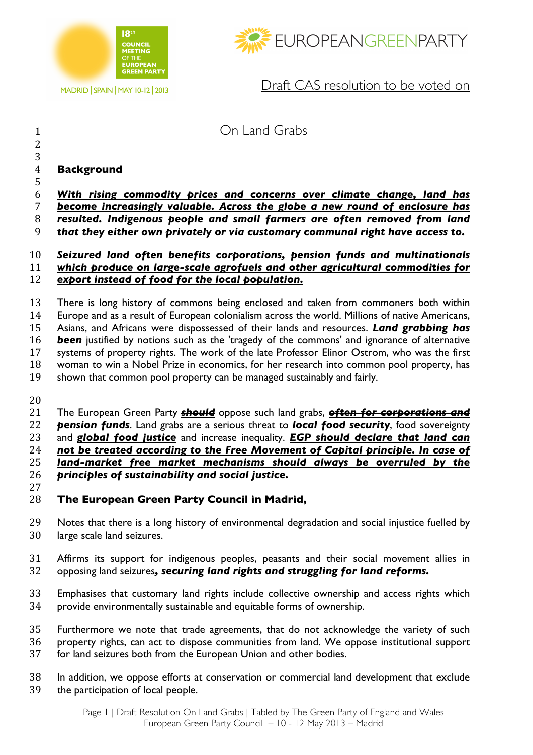

MADRID | SPAIN | MAY 10-12 | 2013



Draft CAS resolution to be voted on

# On Land Grabs

### **Background**

 

 *With rising commodity prices and concerns over climate change, land has become increasingly valuable. Across the globe a new round of enclosure has* 

*resulted. Indigenous people and small farmers are often removed from land* 

*that they either own privately or via customary communal right have access to.*

#### *Seizured land often benefits corporations, pension funds and multinationals which produce on large-scale agrofuels and other agricultural commodities for export instead of food for the local population.*

 There is long history of commons being enclosed and taken from commoners both within Europe and as a result of European colonialism across the world. Millions of native Americans, Asians, and Africans were dispossessed of their lands and resources. *Land grabbing has been* justified by notions such as the 'tragedy of the commons' and ignorance of alternative systems of property rights. The work of the late Professor Elinor Ostrom, who was the first woman to win a Nobel Prize in economics, for her research into common pool property, has shown that common pool property can be managed sustainably and fairly.

 The European Green Party *should* oppose such land grabs, *often for corporations and pension funds*. Land grabs are a serious threat to *local food security*, food sovereignty and *global food justice* and increase inequality. *EGP should declare that land can not be treated according to the Free Movement of Capital principle. In case of land-market free market mechanisms should always be overruled by the principles of sustainability and social justice.* 

- **The European Green Party Council in Madrid,**
- Notes that there is a long history of environmental degradation and social injustice fuelled by large scale land seizures.
- Affirms its support for indigenous peoples, peasants and their social movement allies in opposing land seizures*, securing land rights and struggling for land reforms.*
- Emphasises that customary land rights include collective ownership and access rights which provide environmentally sustainable and equitable forms of ownership.
- Furthermore we note that trade agreements, that do not acknowledge the variety of such property rights, can act to dispose communities from land. We oppose institutional support
- for land seizures both from the European Union and other bodies.
- In addition, we oppose efforts at conservation or commercial land development that exclude the participation of local people.